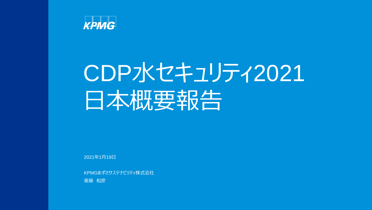

## CDP水セキュリティ2021 日本概要報告

2021年1月19日

KPMGあずさサステナビリティ株式会社 斎藤 和彦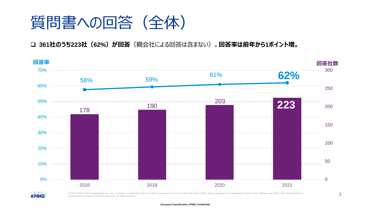

❑ **361社のうち223社(62%)が回答**(親会社による回答は含まない)。**回答率は前年から1ポイント増。**



**KPMG** 

© 2022 KPMG AZSA Sustainability Co., Ltd., a company established under the Japan Companies Act and a member firm of the KPMG global organization of independent member firms affiliated with KPMG International Limited, a private English company limited by guarantee. All rights reserved.

2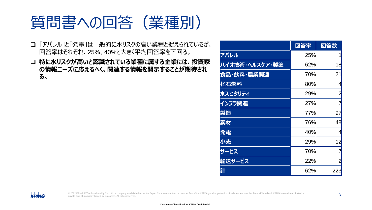質問書への回答(業種別)

- ❑ 「アパレル」と「発電」は一般的に水リスクの高い業種と捉えられているが、 回答率はそれぞれ、25%、40%と大きく平均回答率を下回る。
- ❑ **特に水リスクが高いと認識されている業種に属する企業には、投資家 の情報ニーズに応えるべく、関連する情報を開示することが期待され る。**

|                | 回答率        | 回答数            |
|----------------|------------|----------------|
| アパレル           | 25%        |                |
| バイオ技術・ヘルスケア・製薬 | 62%        | 18             |
| 食品・飲料・農業関連     | 70%        | 21             |
| 化石燃料           | 80%        | 4              |
| ホスピタリティ        | 29%        | $\overline{2}$ |
| インフラ関連         | 27%        | 7              |
| 製造             | 77%        | 97             |
| 素材             | <b>76%</b> | 48             |
| 発電             | 40%        | 4              |
| 小売             | 29%        | 12             |
| サービス           | <b>70%</b> |                |
| 輸送サービス         | 22%        | $\overline{2}$ |
| 計              | 62%        | 223            |

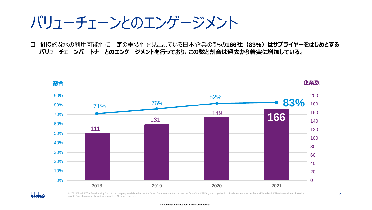バリューチェーンとのエンゲージメント

❑ 間接的な水の利用可能性に一定の重要性を見出している日本企業のうちの**166社(83%)はサプライヤーをはじめとする バリューチェーンパートナーとのエンゲージメントを行っており、この数と割合は過去から着実に増加している。**



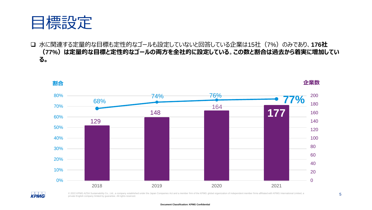

□ 水に関連する定量的な目標も定性的なゴールも設定していないと回答している企業は15社 (7%) のみであり、176社 **(77%)は定量的な目標と定性的なゴールの両方を全社的に設定している**。**この数と割合は過去から着実に増加してい る。**



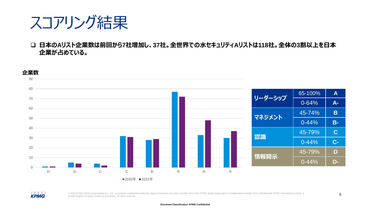## スコアリング結果

❑ **日本のAリスト企業数は前回から7社増加し、37社。全世界での水セキュリティAリストは118社。全体の3割以上を日本 企業が占めている。**